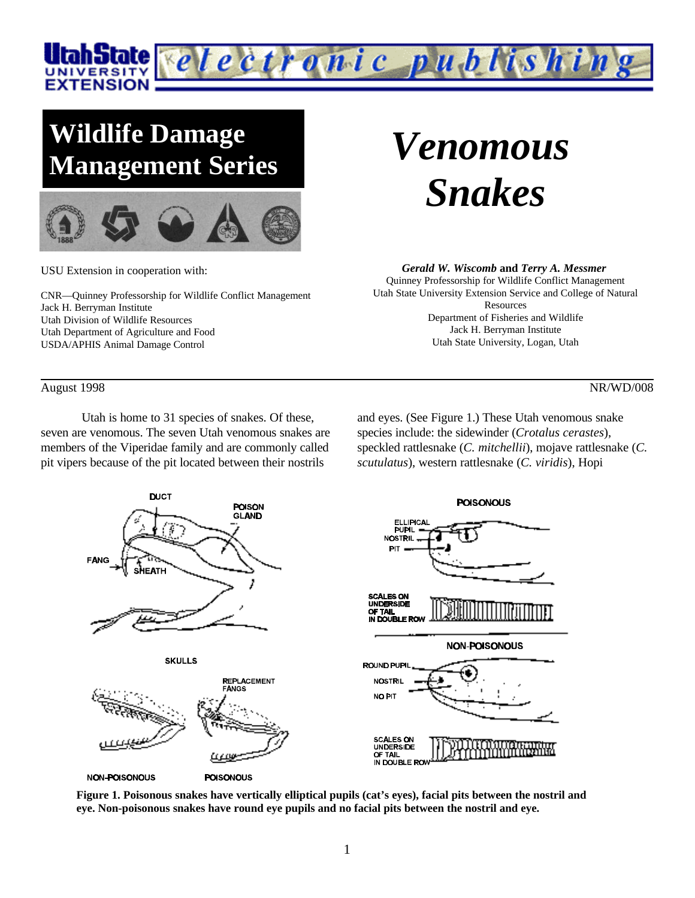

# **Wildlife Damage Management Series**



USU Extension in cooperation with:

CNR—Quinney Professorship for Wildlife Conflict Management Jack H. Berryman Institute Utah Division of Wildlife Resources Utah Department of Agriculture and Food USDA/APHIS Animal Damage Control

# *Venomous Snakes*

#### *Gerald W. Wiscomb* **and** *Terry A. Messmer*

Quinney Professorship for Wildlife Conflict Management Utah State University Extension Service and College of Natural Resources Department of Fisheries and Wildlife Jack H. Berryman Institute Utah State University, Logan, Utah

August 1998 NR/WD/008

Utah is home to 31 species of snakes. Of these, seven are venomous. The seven Utah venomous snakes are members of the Viperidae family and are commonly called pit vipers because of the pit located between their nostrils

and eyes. (See Figure 1.) These Utah venomous snake species include: the sidewinder (*Crotalus cerastes*), speckled rattlesnake (*C. mitchellii*), mojave rattlesnake (*C. scutulatus*), western rattlesnake (*C. viridis*), Hopi



**Figure 1. Poisonous snakes have vertically elliptical pupils (cat's eyes), facial pits between the nostril and eye. Non-poisonous snakes have round eye pupils and no facial pits between the nostril and eye.**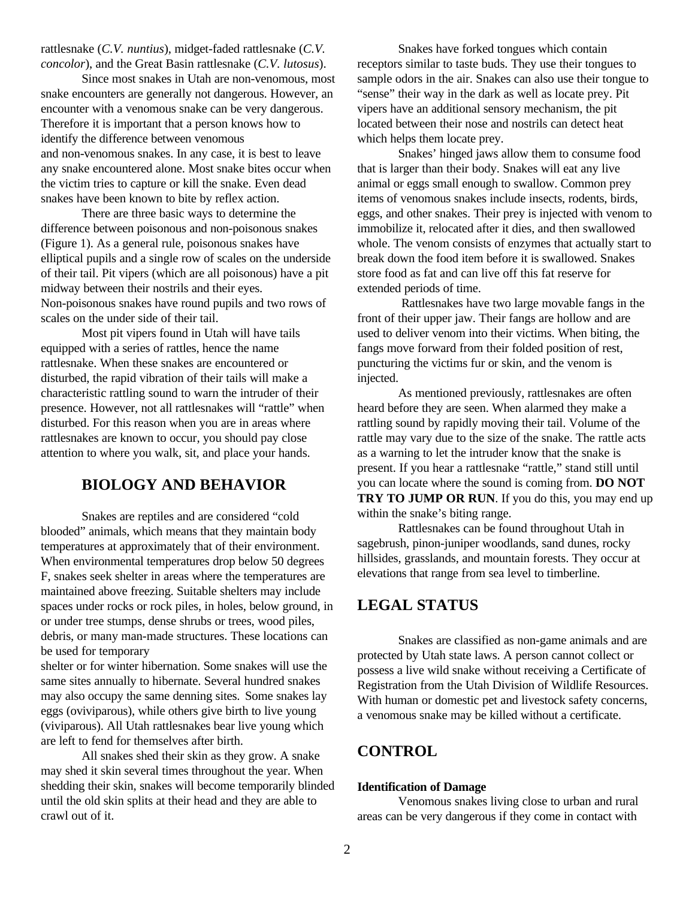rattlesnake (*C.V. nuntius*), midget-faded rattlesnake (*C.V. concolor*), and the Great Basin rattlesnake (*C.V. lutosus*).

Since most snakes in Utah are non-venomous, most snake encounters are generally not dangerous. However, an encounter with a venomous snake can be very dangerous. Therefore it is important that a person knows how to identify the difference between venomous and non-venomous snakes. In any case, it is best to leave any snake encountered alone. Most snake bites occur when the victim tries to capture or kill the snake. Even dead snakes have been known to bite by reflex action.

There are three basic ways to determine the difference between poisonous and non-poisonous snakes (Figure 1). As a general rule, poisonous snakes have elliptical pupils and a single row of scales on the underside of their tail. Pit vipers (which are all poisonous) have a pit midway between their nostrils and their eyes. Non-poisonous snakes have round pupils and two rows of scales on the under side of their tail.

Most pit vipers found in Utah will have tails equipped with a series of rattles, hence the name rattlesnake. When these snakes are encountered or disturbed, the rapid vibration of their tails will make a characteristic rattling sound to warn the intruder of their presence. However, not all rattlesnakes will "rattle" when disturbed. For this reason when you are in areas where rattlesnakes are known to occur, you should pay close attention to where you walk, sit, and place your hands.

# **BIOLOGY AND BEHAVIOR**

Snakes are reptiles and are considered "cold blooded" animals, which means that they maintain body temperatures at approximately that of their environment. When environmental temperatures drop below 50 degrees F, snakes seek shelter in areas where the temperatures are maintained above freezing. Suitable shelters may include spaces under rocks or rock piles, in holes, below ground, in or under tree stumps, dense shrubs or trees, wood piles, debris, or many man-made structures. These locations can be used for temporary

shelter or for winter hibernation. Some snakes will use the same sites annually to hibernate. Several hundred snakes may also occupy the same denning sites. Some snakes lay eggs (oviviparous), while others give birth to live young (viviparous). All Utah rattlesnakes bear live young which are left to fend for themselves after birth.

All snakes shed their skin as they grow. A snake may shed it skin several times throughout the year. When shedding their skin, snakes will become temporarily blinded until the old skin splits at their head and they are able to crawl out of it.

Snakes have forked tongues which contain receptors similar to taste buds. They use their tongues to sample odors in the air. Snakes can also use their tongue to "sense" their way in the dark as well as locate prey. Pit vipers have an additional sensory mechanism, the pit located between their nose and nostrils can detect heat which helps them locate prey.

Snakes' hinged jaws allow them to consume food that is larger than their body. Snakes will eat any live animal or eggs small enough to swallow. Common prey items of venomous snakes include insects, rodents, birds, eggs, and other snakes. Their prey is injected with venom to immobilize it, relocated after it dies, and then swallowed whole. The venom consists of enzymes that actually start to break down the food item before it is swallowed. Snakes store food as fat and can live off this fat reserve for extended periods of time.

 Rattlesnakes have two large movable fangs in the front of their upper jaw. Their fangs are hollow and are used to deliver venom into their victims. When biting, the fangs move forward from their folded position of rest, puncturing the victims fur or skin, and the venom is injected.

As mentioned previously, rattlesnakes are often heard before they are seen. When alarmed they make a rattling sound by rapidly moving their tail. Volume of the rattle may vary due to the size of the snake. The rattle acts as a warning to let the intruder know that the snake is present. If you hear a rattlesnake "rattle," stand still until you can locate where the sound is coming from. **DO NOT TRY TO JUMP OR RUN**. If you do this, you may end up within the snake's biting range.

Rattlesnakes can be found throughout Utah in sagebrush, pinon-juniper woodlands, sand dunes, rocky hillsides, grasslands, and mountain forests. They occur at elevations that range from sea level to timberline.

### **LEGAL STATUS**

Snakes are classified as non-game animals and are protected by Utah state laws. A person cannot collect or possess a live wild snake without receiving a Certificate of Registration from the Utah Division of Wildlife Resources. With human or domestic pet and livestock safety concerns, a venomous snake may be killed without a certificate.

# **CONTROL**

#### **Identification of Damage**

Venomous snakes living close to urban and rural areas can be very dangerous if they come in contact with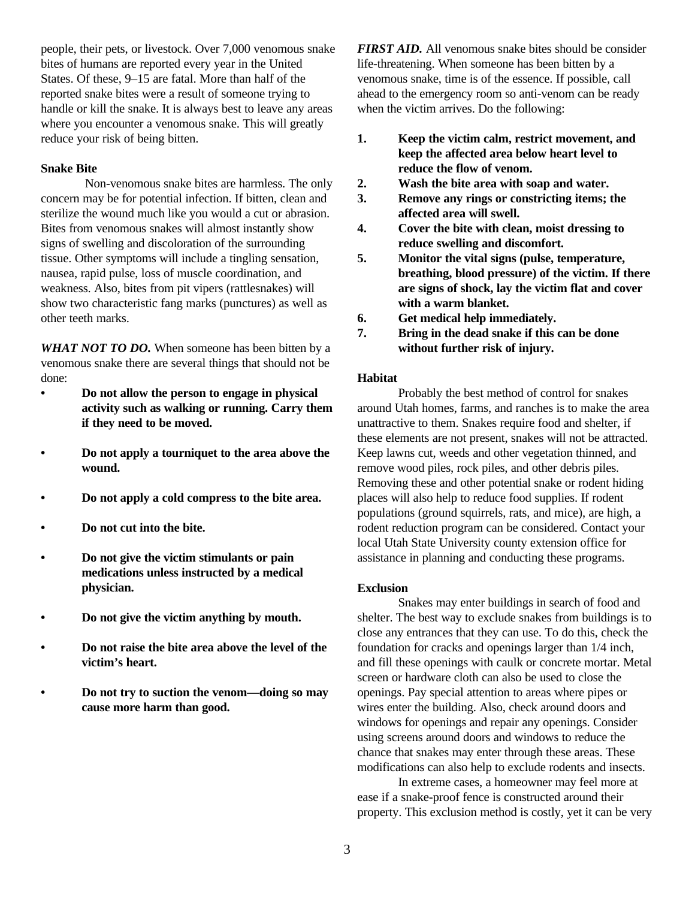people, their pets, or livestock. Over 7,000 venomous snake bites of humans are reported every year in the United States. Of these, 9–15 are fatal. More than half of the reported snake bites were a result of someone trying to handle or kill the snake. It is always best to leave any areas where you encounter a venomous snake. This will greatly reduce your risk of being bitten.

#### **Snake Bite**

 Non-venomous snake bites are harmless. The only concern may be for potential infection. If bitten, clean and sterilize the wound much like you would a cut or abrasion. Bites from venomous snakes will almost instantly show signs of swelling and discoloration of the surrounding tissue. Other symptoms will include a tingling sensation, nausea, rapid pulse, loss of muscle coordination, and weakness. Also, bites from pit vipers (rattlesnakes) will show two characteristic fang marks (punctures) as well as other teeth marks.

*WHAT NOT TO DO.* When someone has been bitten by a venomous snake there are several things that should not be done:

- **• Do not allow the person to engage in physical activity such as walking or running. Carry them if they need to be moved.**
- **• Do not apply a tourniquet to the area above the wound.**
- **• Do not apply a cold compress to the bite area.**
- **• Do not cut into the bite.**
- **• Do not give the victim stimulants or pain medications unless instructed by a medical physician.**
- **• Do not give the victim anything by mouth.**
- **• Do not raise the bite area above the level of the victim's heart.**
- **• Do not try to suction the venom—doing so may cause more harm than good.**

*FIRST AID.* All venomous snake bites should be consider life-threatening. When someone has been bitten by a venomous snake, time is of the essence. If possible, call ahead to the emergency room so anti-venom can be ready when the victim arrives. Do the following:

- **1. Keep the victim calm, restrict movement, and keep the affected area below heart level to reduce the flow of venom.**
- **2. Wash the bite area with soap and water.**
- **3. Remove any rings or constricting items; the affected area will swell.**
- **4. Cover the bite with clean, moist dressing to reduce swelling and discomfort.**
- **5. Monitor the vital signs (pulse, temperature, breathing, blood pressure) of the victim. If there are signs of shock, lay the victim flat and cover with a warm blanket.**
- **6. Get medical help immediately.**
- **7. Bring in the dead snake if this can be done without further risk of injury.**

#### **Habitat**

Probably the best method of control for snakes around Utah homes, farms, and ranches is to make the area unattractive to them. Snakes require food and shelter, if these elements are not present, snakes will not be attracted. Keep lawns cut, weeds and other vegetation thinned, and remove wood piles, rock piles, and other debris piles. Removing these and other potential snake or rodent hiding places will also help to reduce food supplies. If rodent populations (ground squirrels, rats, and mice), are high, a rodent reduction program can be considered. Contact your local Utah State University county extension office for assistance in planning and conducting these programs.

#### **Exclusion**

Snakes may enter buildings in search of food and shelter. The best way to exclude snakes from buildings is to close any entrances that they can use. To do this, check the foundation for cracks and openings larger than 1/4 inch, and fill these openings with caulk or concrete mortar. Metal screen or hardware cloth can also be used to close the openings. Pay special attention to areas where pipes or wires enter the building. Also, check around doors and windows for openings and repair any openings. Consider using screens around doors and windows to reduce the chance that snakes may enter through these areas. These modifications can also help to exclude rodents and insects.

In extreme cases, a homeowner may feel more at ease if a snake-proof fence is constructed around their property. This exclusion method is costly, yet it can be very